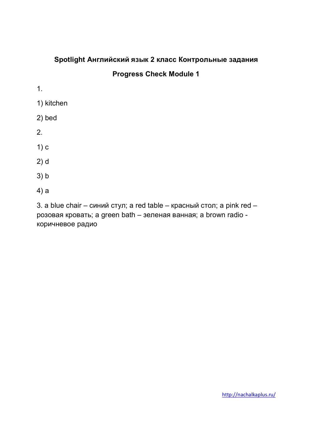# **Spotlight Английский язык 2 класс Контрольные задания**

#### **Progress Check Module 1**

- 1.
- 1) kitchen
- 2) bed
- 2.
- 1) c
- 2) d
- 3) b
- 4) a

3. a blue chair – синий стул; a red table – красный стол; a pink red – розовая кровать; a green bath – зеленая ванная; a brown radio коричневое радио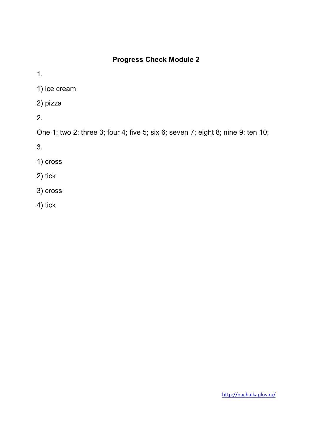1.

1) ice cream

2) pizza

2.

One 1; two 2; three 3; four 4; five 5; six 6; seven 7; eight 8; nine 9; ten 10;

3.

- 1) cross
- 2) tick
- 3) cross
- 4) tick

http://nachalkaplus.ru/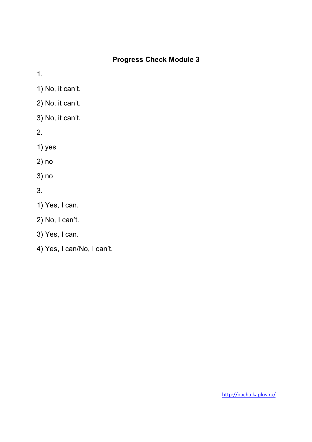1.

- 1) No, it can't.
- 2) No, it can't.
- 3) No, it can't.
- 2.
- 1) yes
- 2) no
- 3) no
- 3.
- 1) Yes, I can.
- 2) No, I can't.
- 3) Yes, I can.
- 4) Yes, I can/No, I can't.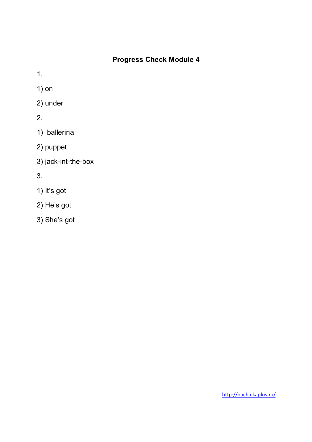1.

1) on

- 2) under
- 2.
- 1) ballerina
- 2) puppet
- 3) jack-int-the-box

3.

- 1) It's got
- 2) He's got
- 3) She's got

http://nachalkaplus.ru/